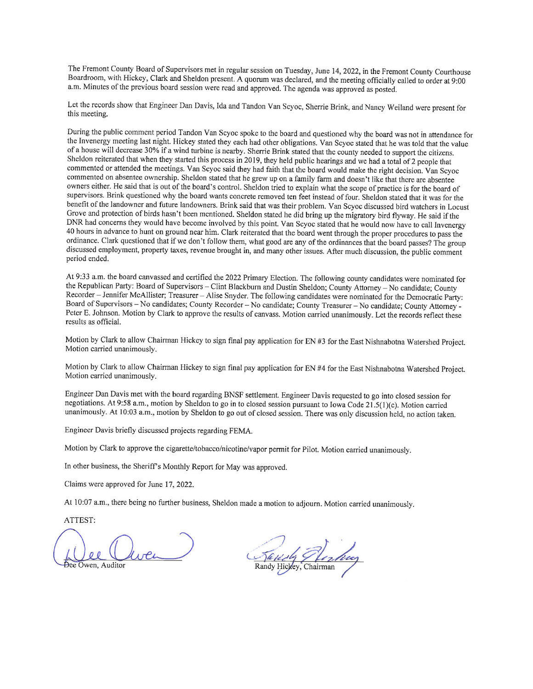The Fremont County Board of Supervisors met in regular session on Tuesday, June 14, 2022, in the Fremont County Courthouse Boardroom, with Hickey, Clark and Sheldon present. A quorum was declared, and the meeting officially called to order at 9:00 a.m. Minutes of the previous board session were read and approved. The agenda was approved as posted.

Let the records show that Engineer Dan Davis, Ida and Tandon Van Scyoc, Sherrie Brink, and Nancy Weiland were present for this meeting.

During the public comment period Tandon Van Scyoc spoke to the board and questioned why the board was not in attendance for the Invenergy meeting last night. Hickey stated they each had other obligations. Van Scyoc stated that he was told that the value of a house will decrease 30% if a wind turbine is nearby. Sherrie Brink stated that the county needed to support the citizens. Sheldon reiterated that when they started this process in 2019, they held public hearings and we had a total of 2 people that commented or attended the meetings. Van Scyoc said they had faith that the board would make the right decision. Van Scyoc commented on absentee ownership. Sheldon stated that he grew up on a family farm and doesn't like that there are absentee owners either. He said that is out of the board's control. Sheldon tried to explain what the scope of practice is for the board of supervisors. Brink questioned why the board wants concrete removed ten feet instead of four. Sheldon stated that it was for the benefit of the landowner and future landowners. Brink said that was their problem. Van Scyoc discussed bird watchers in Locust Grove and protection of birds hasn't been mentioned. Sheldon stated he did bring up the migratory bird flyway. He said if the DNR had concerns they would have become involved by this point. Van Scyoc stated that he would now have to call Invenergy 40 hours in advance to hunt on ground near him. Clark reiterated that the board went through the proper procedures to pass the ordinance. Clark questioned that if we don't follow them, what good are any of the ordinances that the board passes? The group discussed employment, property taxes, revenue brought in, and many other issues. After much discussion, the public comment period ended.

At 9:33 a.m. the board canvassed and certified the 2022 Primary Election. The following county candidates were nominated for the Republican Party: Board of Supervisors - Clint Blackburn and Dustin Sheldon; County Attorney - No candidate; County Recorder - Jennifer McAllister; Treasurer - Alise Snyder. The following candidates were nominated for the Democratic Party: Board of Supervisors - No candidates; County Recorder - No candidate; County Treasurer - No candidate; County Attorney -Peter E. Johnson. Motion by Clark to approve the results of canvass. Motion carried unanimously. Let the records reflect these results as official.

Motion by Clark to allow Chairman Hickey to sign final pay application for EN #3 for the East Nishnabotna Watershed Project. Motion carried unanimously.

Motion by Clark to allow Chairman Hickey to sign final pay application for EN #4 for the East Nishnabotna Watershed Project. Motion carried unanimously.

Engineer Dan Davis met with the board regarding BNSF settlement. Engineer Davis requested to go into closed session for negotiations. At 9:58 a.m., motion by Sheldon to go in to closed session pursuant to Iowa Code 21.5(1)(c). Motion carried unanimously. At 10:03 a.m., motion by Sheldon to go out of closed session. There was only discussion held, no action taken.

Engineer Davis briefly discussed projects regarding FEMA.

Motion by Clark to approve the cigarette/tobacco/nicotine/vapor permit for Pilot. Motion carried unanimously.

In other business, the Sheriff's Monthly Report for May was approved.

Claims were approved for June 17, 2022.

At 10:07 a.m., there being no further business, Sheldon made a motion to adjourn. Motion carried unanimously.

ATTEST:

Owen, Auditor

Randy Hickey, Chairman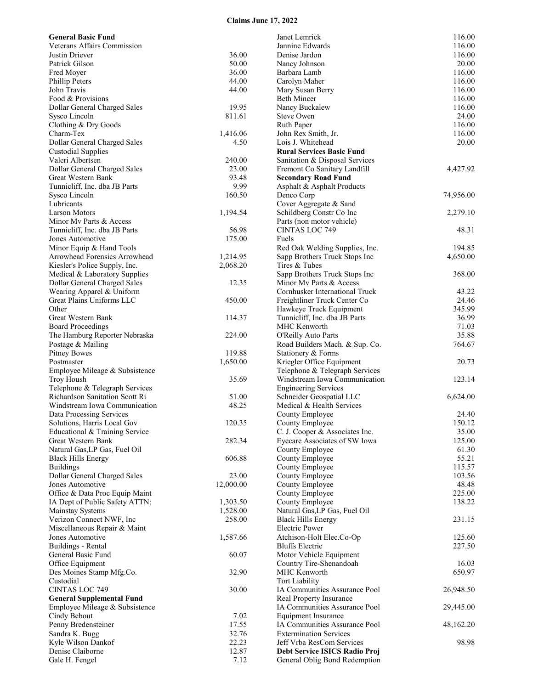## **Claims June 17, 2022**

| <b>General Basic Fund</b>                                        |                | Janet Lemrick                                               | 116.00           |
|------------------------------------------------------------------|----------------|-------------------------------------------------------------|------------------|
| Veterans Affairs Commission                                      |                | Jannine Edwards                                             | 116.00           |
| Justin Driever                                                   | 36.00          | Denise Jardon                                               | 116.00           |
| Patrick Gilson                                                   | 50.00          | Nancy Johnson                                               | 20.00            |
| Fred Moyer<br>Phillip Peters                                     | 36.00<br>44.00 | Barbara Lamb                                                | 116.00<br>116.00 |
| John Travis                                                      | 44.00          | Carolyn Maher                                               | 116.00           |
| Food & Provisions                                                |                | Mary Susan Berry<br><b>Beth Mincer</b>                      | 116.00           |
| Dollar General Charged Sales                                     | 19.95          | Nancy Buckalew                                              | 116.00           |
| Sysco Lincoln                                                    | 811.61         | <b>Steve Owen</b>                                           | 24.00            |
| Clothing & Dry Goods                                             |                | Ruth Paper                                                  | 116.00           |
| Charm-Tex                                                        | 1,416.06       | John Rex Smith, Jr.                                         | 116.00           |
| Dollar General Charged Sales                                     | 4.50           | Lois J. Whitehead                                           | 20.00            |
| <b>Custodial Supplies</b>                                        |                | <b>Rural Services Basic Fund</b>                            |                  |
| Valeri Albertsen                                                 | 240.00         | Sanitation & Disposal Services                              |                  |
| Dollar General Charged Sales                                     | 23.00          | Fremont Co Sanitary Landfill                                | 4,427.92         |
| Great Western Bank                                               | 93.48          | <b>Secondary Road Fund</b>                                  |                  |
| Tunnicliff, Inc. dba JB Parts                                    | 9.99           | Asphalt & Asphalt Products                                  |                  |
| Sysco Lincoln                                                    | 160.50         | Denco Corp                                                  | 74,956.00        |
| Lubricants                                                       |                | Cover Aggregate & Sand                                      |                  |
| <b>Larson Motors</b>                                             | 1,194.54       | Schildberg Constr Co Inc                                    | 2,279.10         |
| Minor My Parts & Access                                          |                | Parts (non motor vehicle)                                   |                  |
| Tunnicliff, Inc. dba JB Parts                                    | 56.98          | <b>CINTAS LOC 749</b>                                       | 48.31            |
| Jones Automotive                                                 | 175.00         | Fuels                                                       |                  |
| Minor Equip & Hand Tools                                         |                | Red Oak Welding Supplies, Inc.                              | 194.85           |
| Arrowhead Forensics Arrowhead                                    | 1,214.95       | Sapp Brothers Truck Stops Inc                               | 4,650.00         |
| Kiesler's Police Supply, Inc.                                    | 2,068.20       | Tires & Tubes                                               |                  |
| Medical & Laboratory Supplies                                    |                | Sapp Brothers Truck Stops Inc                               | 368.00           |
| Dollar General Charged Sales                                     | 12.35          | Minor My Parts & Access                                     |                  |
| Wearing Apparel & Uniform                                        |                | Cornhusker International Truck                              | 43.22            |
| Great Plains Uniforms LLC                                        | 450.00         | Freightliner Truck Center Co                                | 24.46            |
| Other                                                            |                | Hawkeye Truck Equipment                                     | 345.99           |
| Great Western Bank                                               | 114.37         | Tunnicliff, Inc. dba JB Parts                               | 36.99            |
| <b>Board Proceedings</b>                                         |                | MHC Kenworth                                                | 71.03            |
| The Hamburg Reporter Nebraska                                    | 224.00         | <b>O'Reilly Auto Parts</b>                                  | 35.88            |
| Postage & Mailing                                                |                | Road Builders Mach. & Sup. Co.                              | 764.67           |
| <b>Pitney Bowes</b>                                              | 119.88         | Stationery & Forms                                          |                  |
| Postmaster                                                       | 1,650.00       | Kriegler Office Equipment                                   | 20.73            |
| Employee Mileage & Subsistence                                   |                | Telephone & Telegraph Services                              |                  |
| <b>Troy Housh</b>                                                | 35.69          | Windstream Iowa Communication                               | 123.14           |
| Telephone & Telegraph Services<br>Richardson Sanitation Scott Ri | 51.00          | <b>Engineering Services</b><br>Schneider Geospatial LLC     | 6,624.00         |
| Windstream Iowa Communication                                    | 48.25          | Medical & Health Services                                   |                  |
| Data Processing Services                                         |                | County Employee                                             | 24.40            |
| Solutions, Harris Local Gov                                      | 120.35         | County Employee                                             | 150.12           |
| Educational & Training Service                                   |                | C. J. Cooper & Associates Inc.                              | 35.00            |
| Great Western Bank                                               | 282.34         | Eyecare Associates of SW Iowa                               | 125.00           |
| Natural Gas, LP Gas, Fuel Oil                                    |                | County Employee                                             | 61.30            |
| <b>Black Hills Energy</b>                                        | 606.88         | County Employee                                             | 55.21            |
| <b>Buildings</b>                                                 |                | County Employee                                             | 115.57           |
| Dollar General Charged Sales                                     | 23.00          | County Employee                                             | 103.56           |
| Jones Automotive                                                 | 12,000.00      | County Employee                                             | 48.48            |
| Office & Data Proc Equip Maint                                   |                | County Employee                                             | 225.00           |
| IA Dept of Public Safety ATTN:                                   | 1,303.50       | County Employee                                             | 138.22           |
| <b>Mainstay Systems</b>                                          | 1,528.00       | Natural Gas, LP Gas, Fuel Oil                               |                  |
| Verizon Connect NWF, Inc.                                        | 258.00         | <b>Black Hills Energy</b>                                   | 231.15           |
| Miscellaneous Repair & Maint                                     |                | <b>Electric Power</b>                                       |                  |
| Jones Automotive                                                 | 1,587.66       | Atchison-Holt Elec.Co-Op                                    | 125.60           |
| Buildings - Rental                                               |                | <b>Bluffs Electric</b>                                      | 227.50           |
| General Basic Fund                                               | 60.07          | Motor Vehicle Equipment                                     |                  |
| Office Equipment                                                 |                | Country Tire-Shenandoah                                     | 16.03            |
| Des Moines Stamp Mfg.Co.                                         | 32.90          | MHC Kenworth                                                | 650.97           |
| Custodial                                                        |                | <b>Tort Liability</b>                                       |                  |
| <b>CINTAS LOC 749</b>                                            | 30.00          | IA Communities Assurance Pool                               | 26,948.50        |
| <b>General Supplemental Fund</b>                                 |                | Real Property Insurance                                     |                  |
| Employee Mileage & Subsistence                                   |                | IA Communities Assurance Pool                               | 29,445.00        |
| Cindy Bebout<br>Penny Bredensteiner                              | 7.02<br>17.55  | <b>Equipment Insurance</b><br>IA Communities Assurance Pool |                  |
| Sandra K. Bugg                                                   | 32.76          | <b>Extermination Services</b>                               | 48,162.20        |
| Kyle Wilson Dankof                                               | 22.23          | Jeff Vrba ResCom Services                                   | 98.98            |
| Denise Claiborne                                                 | 12.87          | Debt Service ISICS Radio Proj                               |                  |
| Gale H. Fengel                                                   | 7.12           | General Oblig Bond Redemption                               |                  |
|                                                                  |                |                                                             |                  |